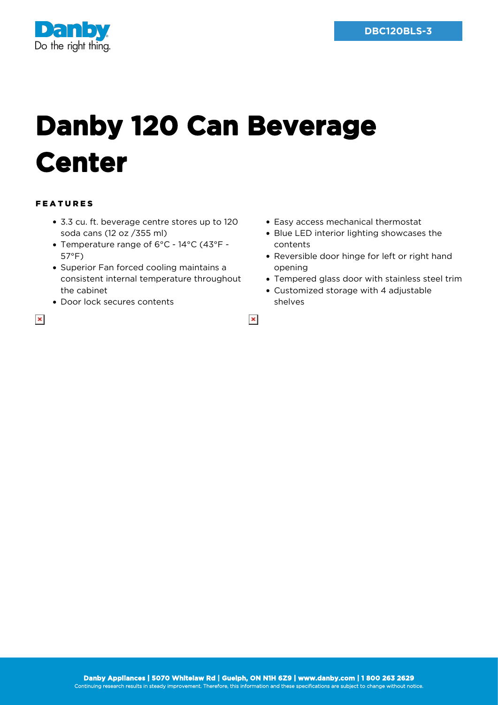

## **Danby 120 Can Beverage Center**

## FEATURES

 $\pmb{\times}$ 

- 3.3 cu. ft. beverage centre stores up to 120 soda cans (12 oz /355 ml)
- Temperature range of 6°C 14°C (43°F 57°F)
- Superior Fan forced cooling maintains a consistent internal temperature throughout the cabinet
- Door lock secures contents
- Easy access mechanical thermostat
- Blue LED interior lighting showcases the contents
- Reversible door hinge for left or right hand opening
- Tempered glass door with stainless steel trim
- Customized storage with 4 adjustable shelves

 $\pmb{\times}$